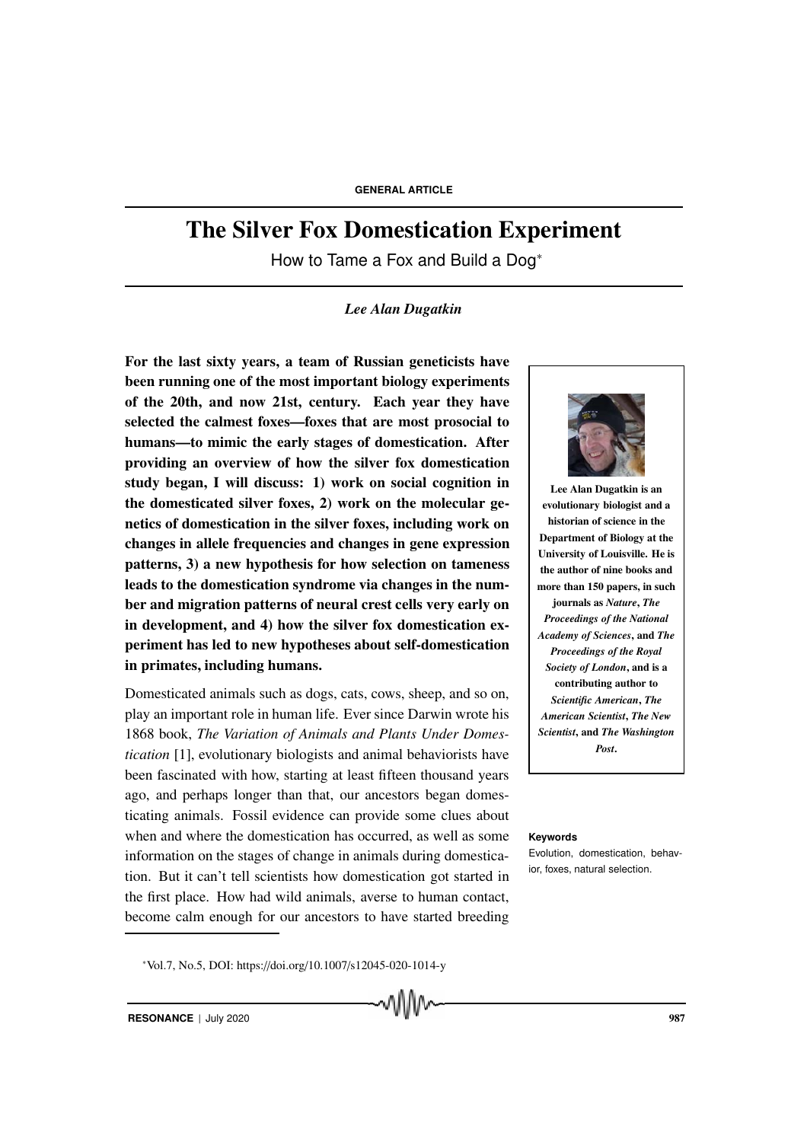# The Silver Fox Domestication Experiment

How to Tame a Fox and Build a Dog<sup>∗</sup>

# *Lee Alan Dugatkin*

For the last sixty years, a team of Russian geneticists have been running one of the most important biology experiments of the 20th, and now 21st, century. Each year they have selected the calmest foxes—foxes that are most prosocial to humans—to mimic the early stages of domestication. After providing an overview of how the silver fox domestication study began, I will discuss: 1) work on social cognition in the domesticated silver foxes, 2) work on the molecular genetics of domestication in the silver foxes, including work on changes in allele frequencies and changes in gene expression patterns, 3) a new hypothesis for how selection on tameness leads to the domestication syndrome via changes in the number and migration patterns of neural crest cells very early on in development, and 4) how the silver fox domestication experiment has led to new hypotheses about self-domestication in primates, including humans.

Domesticated animals such as dogs, cats, cows, sheep, and so on, play an important role in human life. Ever since Darwin wrote his 1868 book, *The Variation of Animals and Plants Under Domestication* [1], evolutionary biologists and animal behaviorists have been fascinated with how, starting at least fifteen thousand years ago, and perhaps longer than that, our ancestors began domesticating animals. Fossil evidence can provide some clues about when and where the domestication has occurred, as well as some **Keywords** information on the stages of change in animals during domestication. But it can't tell scientists how domestication got started in the first place. How had wild animals, averse to human contact, become calm enough for our ancestors to have started breeding





Lee Alan Dugatkin is an evolutionary biologist and a historian of science in the Department of Biology at the University of Louisville. He is the author of nine books and more than 150 papers, in such journals as *Nature*, *The Proceedings of the National Academy of Sciences*, and *The Proceedings of the Royal Society of London*, and is a contributing author to *Scientific American*, *The American Scientist*, *The New Scientist*, and *The Washington Post*.

Evolution, domestication, behavior, foxes, natural selection.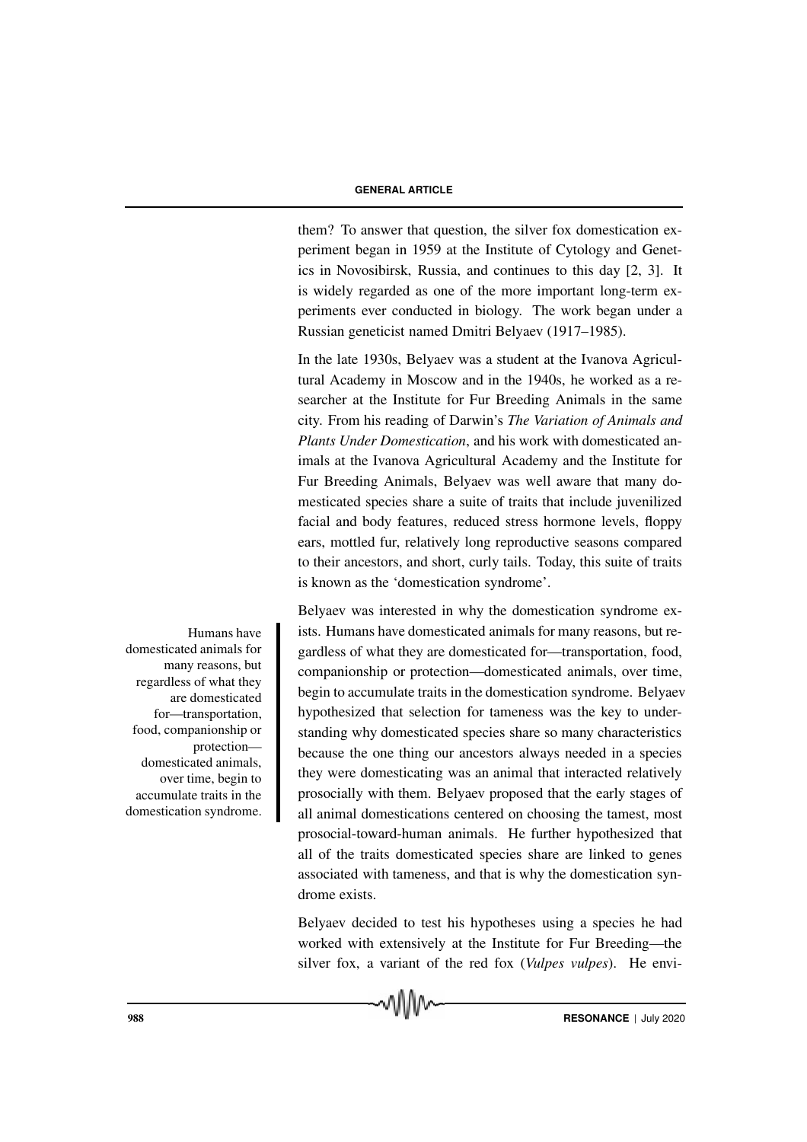them? To answer that question, the silver fox domestication experiment began in 1959 at the Institute of Cytology and Genetics in Novosibirsk, Russia, and continues to this day [2, 3]. It is widely regarded as one of the more important long-term experiments ever conducted in biology. The work began under a Russian geneticist named Dmitri Belyaev (1917–1985).

In the late 1930s, Belyaev was a student at the Ivanova Agricultural Academy in Moscow and in the 1940s, he worked as a researcher at the Institute for Fur Breeding Animals in the same city. From his reading of Darwin's *The Variation of Animals and Plants Under Domestication*, and his work with domesticated animals at the Ivanova Agricultural Academy and the Institute for Fur Breeding Animals, Belyaev was well aware that many domesticated species share a suite of traits that include juvenilized facial and body features, reduced stress hormone levels, floppy ears, mottled fur, relatively long reproductive seasons compared to their ancestors, and short, curly tails. Today, this suite of traits is known as the 'domestication syndrome'.

Belyaev was interested in why the domestication syndrome ex-Humans have ists. Humans have domesticated animals for many reasons, but regardless of what they are domesticated for—transportation, food, companionship or protection—domesticated animals, over time, begin to accumulate traits in the domestication syndrome. Belyaev hypothesized that selection for tameness was the key to understanding why domesticated species share so many characteristics because the one thing our ancestors always needed in a species they were domesticating was an animal that interacted relatively prosocially with them. Belyaev proposed that the early stages of all animal domestications centered on choosing the tamest, most prosocial-toward-human animals. He further hypothesized that all of the traits domesticated species share are linked to genes associated with tameness, and that is why the domestication syndrome exists.

> Belyaev decided to test his hypotheses using a species he had worked with extensively at the Institute for Fur Breeding—the silver fox, a variant of the red fox (*Vulpes vulpes*). He envi-



domesticated animals for many reasons, but regardless of what they are domesticated for—transportation, food, companionship or protection domesticated animals, over time, begin to accumulate traits in the domestication syndrome.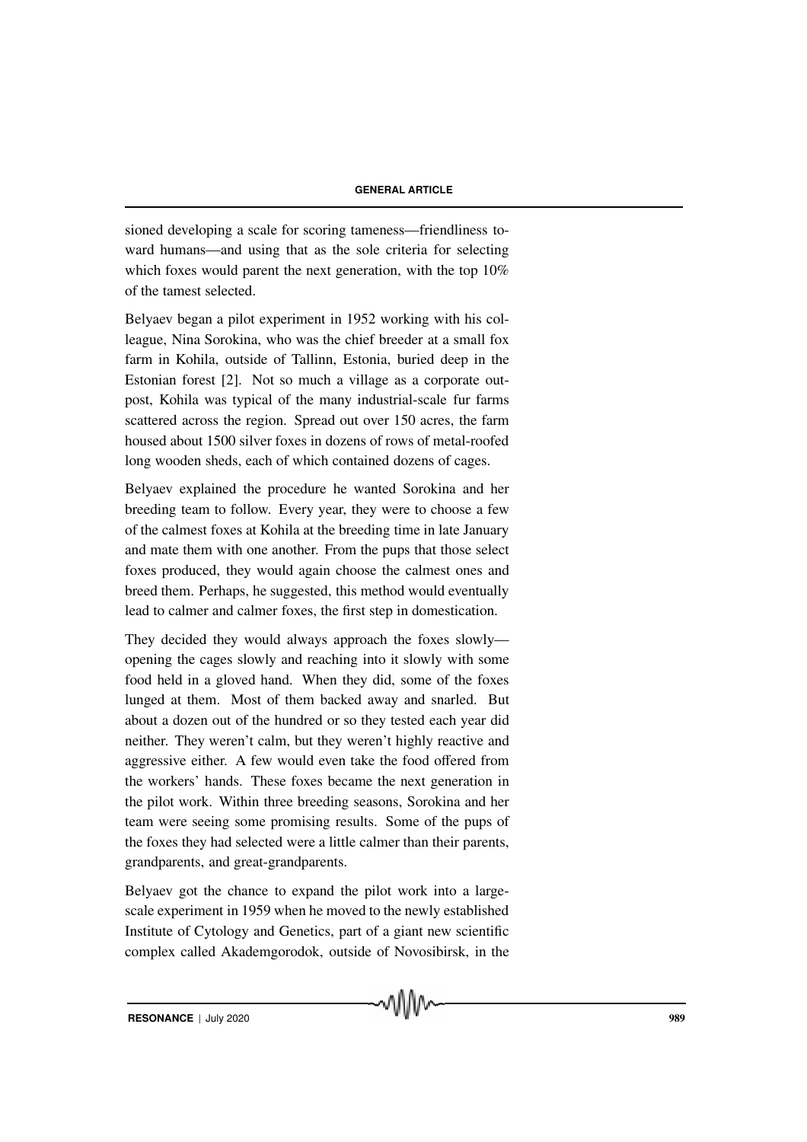sioned developing a scale for scoring tameness—friendliness toward humans—and using that as the sole criteria for selecting which foxes would parent the next generation, with the top 10% of the tamest selected.

Belyaev began a pilot experiment in 1952 working with his colleague, Nina Sorokina, who was the chief breeder at a small fox farm in Kohila, outside of Tallinn, Estonia, buried deep in the Estonian forest [2]. Not so much a village as a corporate outpost, Kohila was typical of the many industrial-scale fur farms scattered across the region. Spread out over 150 acres, the farm housed about 1500 silver foxes in dozens of rows of metal-roofed long wooden sheds, each of which contained dozens of cages.

Belyaev explained the procedure he wanted Sorokina and her breeding team to follow. Every year, they were to choose a few of the calmest foxes at Kohila at the breeding time in late January and mate them with one another. From the pups that those select foxes produced, they would again choose the calmest ones and breed them. Perhaps, he suggested, this method would eventually lead to calmer and calmer foxes, the first step in domestication.

They decided they would always approach the foxes slowly opening the cages slowly and reaching into it slowly with some food held in a gloved hand. When they did, some of the foxes lunged at them. Most of them backed away and snarled. But about a dozen out of the hundred or so they tested each year did neither. They weren't calm, but they weren't highly reactive and aggressive either. A few would even take the food offered from the workers' hands. These foxes became the next generation in the pilot work. Within three breeding seasons, Sorokina and her team were seeing some promising results. Some of the pups of the foxes they had selected were a little calmer than their parents, grandparents, and great-grandparents.

Belyaev got the chance to expand the pilot work into a largescale experiment in 1959 when he moved to the newly established Institute of Cytology and Genetics, part of a giant new scientific complex called Akademgorodok, outside of Novosibirsk, in the

√∖ใ∖ใ∿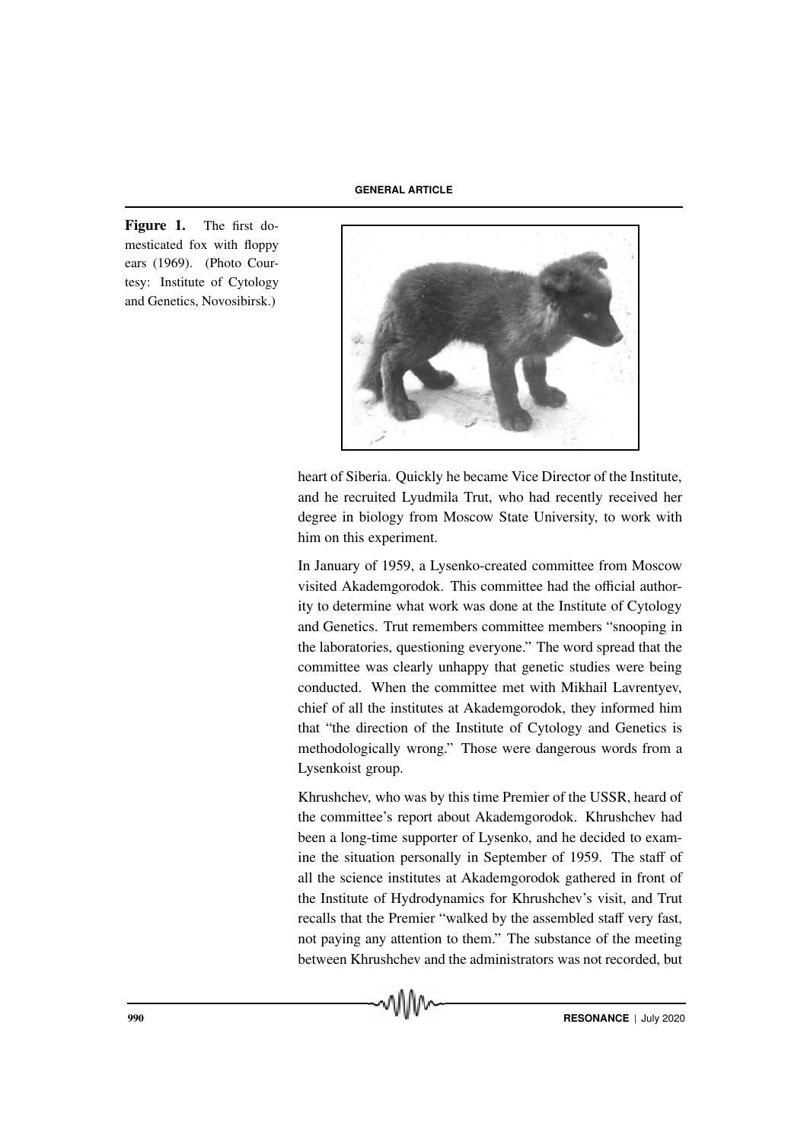Figure 1. The first domesticated fox with floppy ears (1969). (Photo Courtesy: Institute of Cytology and Genetics, Novosibirsk.)



heart of Siberia. Quickly he became Vice Director of the Institute, and he recruited Lyudmila Trut, who had recently received her degree in biology from Moscow State University, to work with him on this experiment.

In January of 1959, a Lysenko-created committee from Moscow visited Akademgorodok. This committee had the official authority to determine what work was done at the Institute of Cytology and Genetics. Trut remembers committee members "snooping in the laboratories, questioning everyone." The word spread that the committee was clearly unhappy that genetic studies were being conducted. When the committee met with Mikhail Lavrentyev, chief of all the institutes at Akademgorodok, they informed him that "the direction of the Institute of Cytology and Genetics is methodologically wrong." Those were dangerous words from a Lysenkoist group.

Khrushchev, who was by this time Premier of the USSR, heard of the committee's report about Akademgorodok. Khrushchev had been a long-time supporter of Lysenko, and he decided to examine the situation personally in September of 1959. The staff of all the science institutes at Akademgorodok gathered in front of the Institute of Hydrodynamics for Khrushchev's visit, and Trut recalls that the Premier "walked by the assembled staff very fast, not paying any attention to them." The substance of the meeting between Khrushchev and the administrators was not recorded, but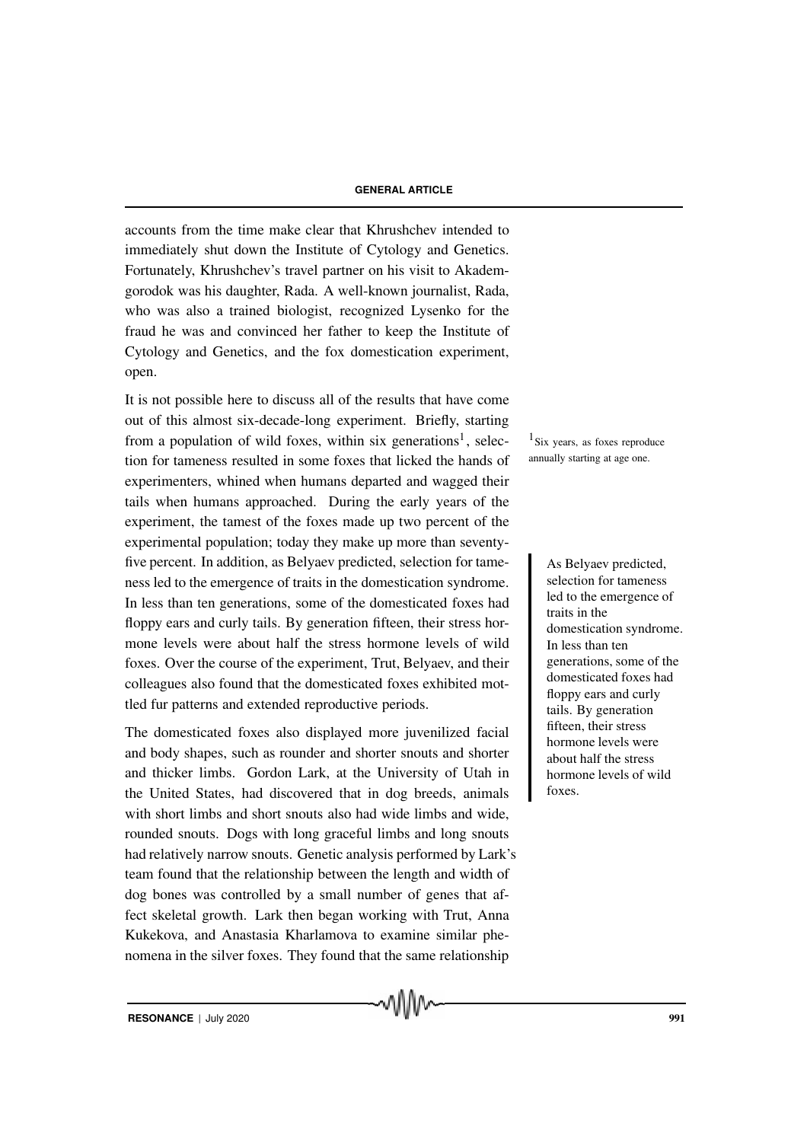accounts from the time make clear that Khrushchev intended to immediately shut down the Institute of Cytology and Genetics. Fortunately, Khrushchev's travel partner on his visit to Akademgorodok was his daughter, Rada. A well-known journalist, Rada, who was also a trained biologist, recognized Lysenko for the fraud he was and convinced her father to keep the Institute of Cytology and Genetics, and the fox domestication experiment, open.

It is not possible here to discuss all of the results that have come out of this almost six-decade-long experiment. Briefly, starting from a population of wild foxes, within six generations<sup>1</sup>, selec-  $\frac{1}{1}$  Six years, as foxes reproduce tion for tameness resulted in some foxes that licked the hands of experimenters, whined when humans departed and wagged their tails when humans approached. During the early years of the experiment, the tamest of the foxes made up two percent of the experimental population; today they make up more than seventyfive percent. In addition, as Belyaev predicted, selection for tame-<br>As Belyaev predicted, ness led to the emergence of traits in the domestication syndrome. In less than ten generations, some of the domesticated foxes had floppy ears and curly tails. By generation fifteen, their stress hormone levels were about half the stress hormone levels of wild foxes. Over the course of the experiment, Trut, Belyaev, and their colleagues also found that the domesticated foxes exhibited mottled fur patterns and extended reproductive periods.

The domesticated foxes also displayed more juvenilized facial and body shapes, such as rounder and shorter snouts and shorter and thicker limbs. Gordon Lark, at the University of Utah in the United States, had discovered that in dog breeds, animals with short limbs and short snouts also had wide limbs and wide, rounded snouts. Dogs with long graceful limbs and long snouts had relatively narrow snouts. Genetic analysis performed by Lark's team found that the relationship between the length and width of dog bones was controlled by a small number of genes that affect skeletal growth. Lark then began working with Trut, Anna Kukekova, and Anastasia Kharlamova to examine similar phenomena in the silver foxes. They found that the same relationship

MMW

annually starting at age one.

selection for tameness led to the emergence of traits in the domestication syndrome. In less than ten generations, some of the domesticated foxes had floppy ears and curly tails. By generation fifteen, their stress hormone levels were about half the stress hormone levels of wild foxes.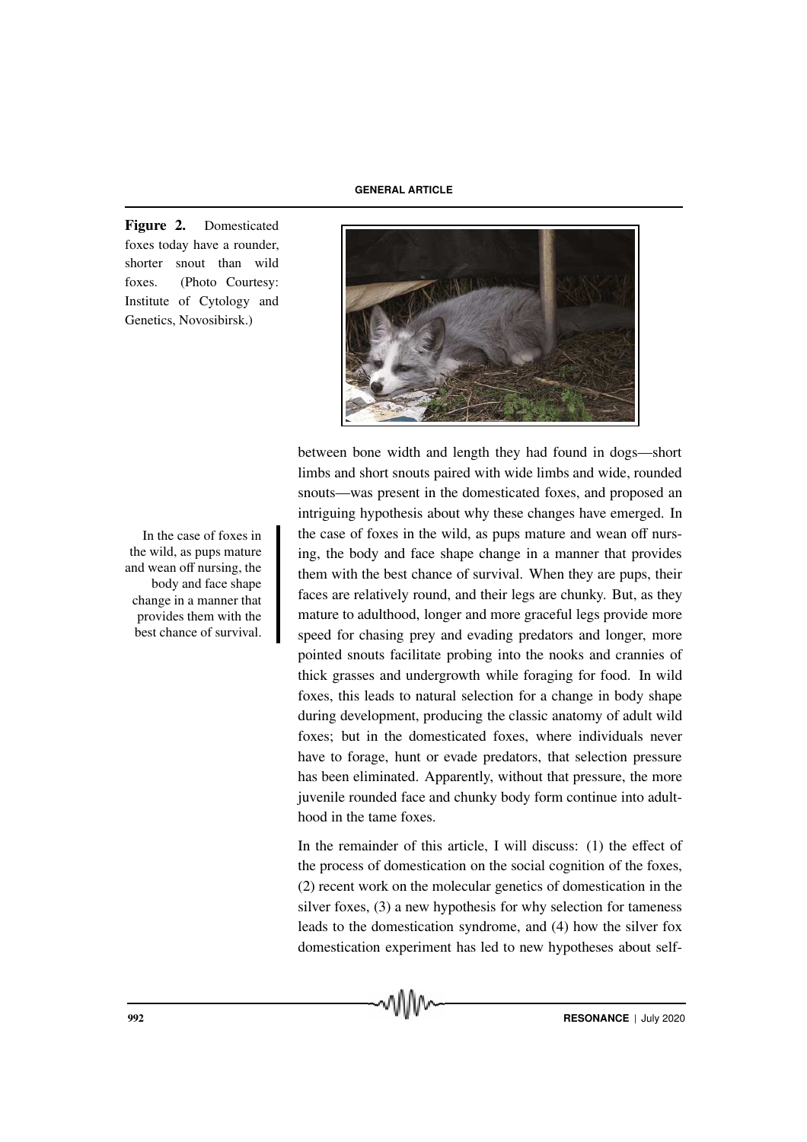Figure 2. Domesticated foxes today have a rounder, shorter snout than wild foxes. (Photo Courtesy: Institute of Cytology and Genetics, Novosibirsk.)



between bone width and length they had found in dogs—short limbs and short snouts paired with wide limbs and wide, rounded snouts—was present in the domesticated foxes, and proposed an intriguing hypothesis about why these changes have emerged. In the case of foxes in the wild, as pups mature and wean off nursing, the body and face shape change in a manner that provides them with the best chance of survival. When they are pups, their faces are relatively round, and their legs are chunky. But, as they mature to adulthood, longer and more graceful legs provide more speed for chasing prey and evading predators and longer, more pointed snouts facilitate probing into the nooks and crannies of thick grasses and undergrowth while foraging for food. In wild foxes, this leads to natural selection for a change in body shape during development, producing the classic anatomy of adult wild foxes; but in the domesticated foxes, where individuals never have to forage, hunt or evade predators, that selection pressure has been eliminated. Apparently, without that pressure, the more juvenile rounded face and chunky body form continue into adulthood in the tame foxes.

In the remainder of this article, I will discuss: (1) the effect of the process of domestication on the social cognition of the foxes, (2) recent work on the molecular genetics of domestication in the silver foxes, (3) a new hypothesis for why selection for tameness leads to the domestication syndrome, and (4) how the silver fox domestication experiment has led to new hypotheses about self-

In the case of foxes in the wild, as pups mature and wean off nursing, the body and face shape change in a manner that provides them with the best chance of survival.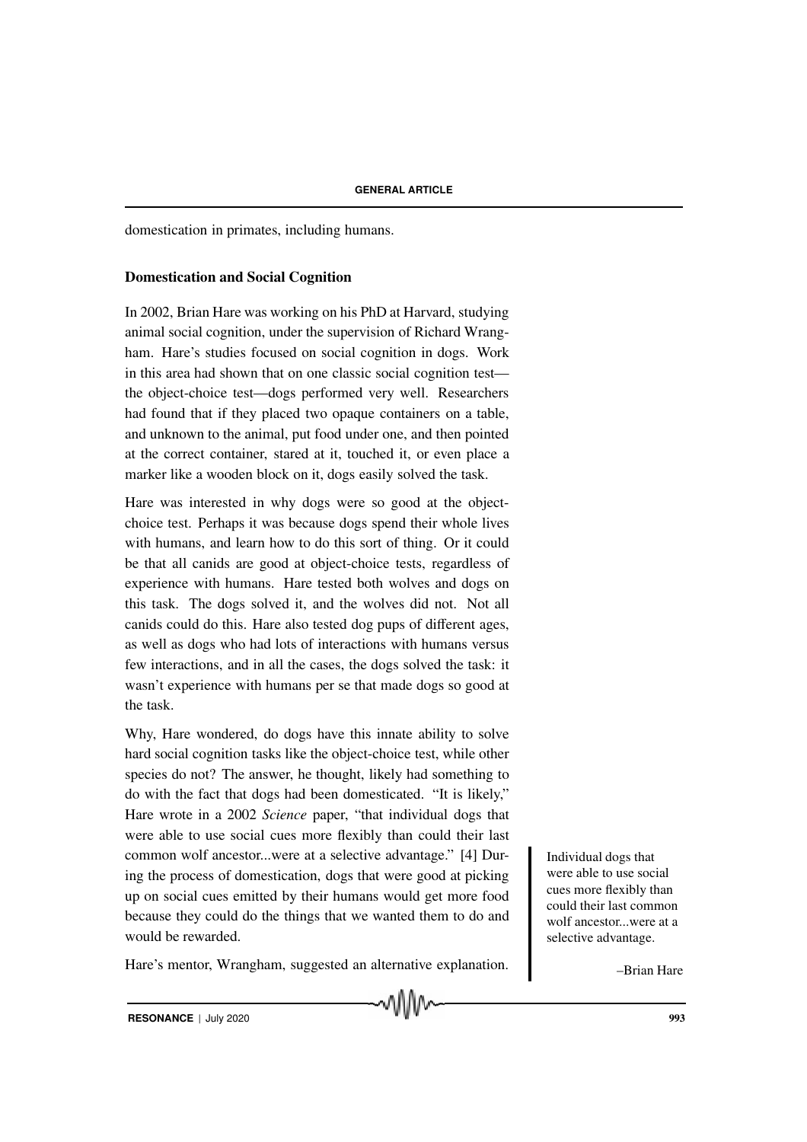domestication in primates, including humans.

### Domestication and Social Cognition

In 2002, Brian Hare was working on his PhD at Harvard, studying animal social cognition, under the supervision of Richard Wrangham. Hare's studies focused on social cognition in dogs. Work in this area had shown that on one classic social cognition test the object-choice test—dogs performed very well. Researchers had found that if they placed two opaque containers on a table, and unknown to the animal, put food under one, and then pointed at the correct container, stared at it, touched it, or even place a marker like a wooden block on it, dogs easily solved the task.

Hare was interested in why dogs were so good at the objectchoice test. Perhaps it was because dogs spend their whole lives with humans, and learn how to do this sort of thing. Or it could be that all canids are good at object-choice tests, regardless of experience with humans. Hare tested both wolves and dogs on this task. The dogs solved it, and the wolves did not. Not all canids could do this. Hare also tested dog pups of different ages, as well as dogs who had lots of interactions with humans versus few interactions, and in all the cases, the dogs solved the task: it wasn't experience with humans per se that made dogs so good at the task.

Why, Hare wondered, do dogs have this innate ability to solve hard social cognition tasks like the object-choice test, while other species do not? The answer, he thought, likely had something to do with the fact that dogs had been domesticated. "It is likely," Hare wrote in a 2002 *Science* paper, "that individual dogs that were able to use social cues more flexibly than could their last common wolf ancestor...were at a selective advantage." [4] Dur-<br>Individual dogs that ing the process of domestication, dogs that were good at picking up on social cues emitted by their humans would get more food because they could do the things that we wanted them to do and would be rewarded.

Hare's mentor, Wrangham, suggested an alternative explanation.

MMv

were able to use social cues more flexibly than could their last common wolf ancestor...were at a selective advantage.

–Brian Hare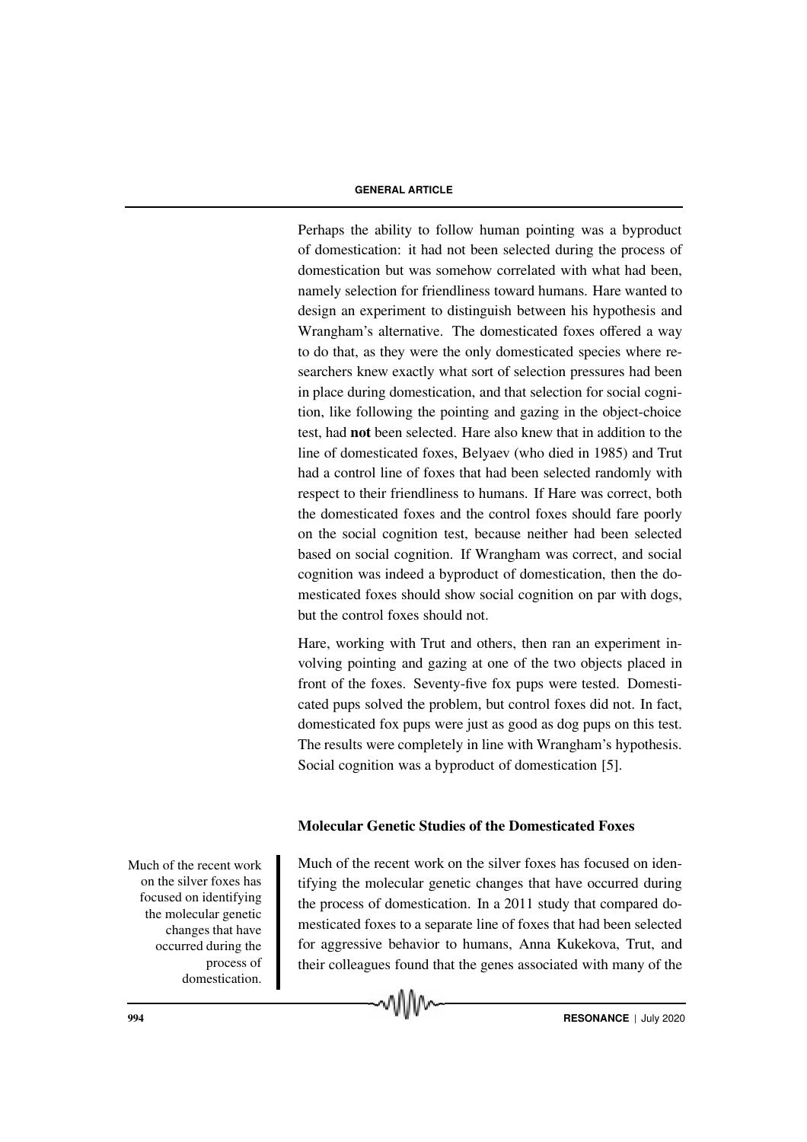Perhaps the ability to follow human pointing was a byproduct of domestication: it had not been selected during the process of domestication but was somehow correlated with what had been, namely selection for friendliness toward humans. Hare wanted to design an experiment to distinguish between his hypothesis and Wrangham's alternative. The domesticated foxes offered a way to do that, as they were the only domesticated species where researchers knew exactly what sort of selection pressures had been in place during domestication, and that selection for social cognition, like following the pointing and gazing in the object-choice test, had not been selected. Hare also knew that in addition to the line of domesticated foxes, Belyaev (who died in 1985) and Trut had a control line of foxes that had been selected randomly with respect to their friendliness to humans. If Hare was correct, both the domesticated foxes and the control foxes should fare poorly on the social cognition test, because neither had been selected based on social cognition. If Wrangham was correct, and social cognition was indeed a byproduct of domestication, then the domesticated foxes should show social cognition on par with dogs, but the control foxes should not.

Hare, working with Trut and others, then ran an experiment involving pointing and gazing at one of the two objects placed in front of the foxes. Seventy-five fox pups were tested. Domesticated pups solved the problem, but control foxes did not. In fact, domesticated fox pups were just as good as dog pups on this test. The results were completely in line with Wrangham's hypothesis. Social cognition was a byproduct of domestication [5].

#### Molecular Genetic Studies of the Domesticated Foxes

Much of the recent work on the silver foxes has focused on identifying the molecular genetic changes that have occurred during the process of domestication. Much of the recent work on the silver foxes has focused on identifying the molecular genetic changes that have occurred during the process of domestication. In a 2011 study that compared domesticated foxes to a separate line of foxes that had been selected for aggressive behavior to humans, Anna Kukekova, Trut, and their colleagues found that the genes associated with many of the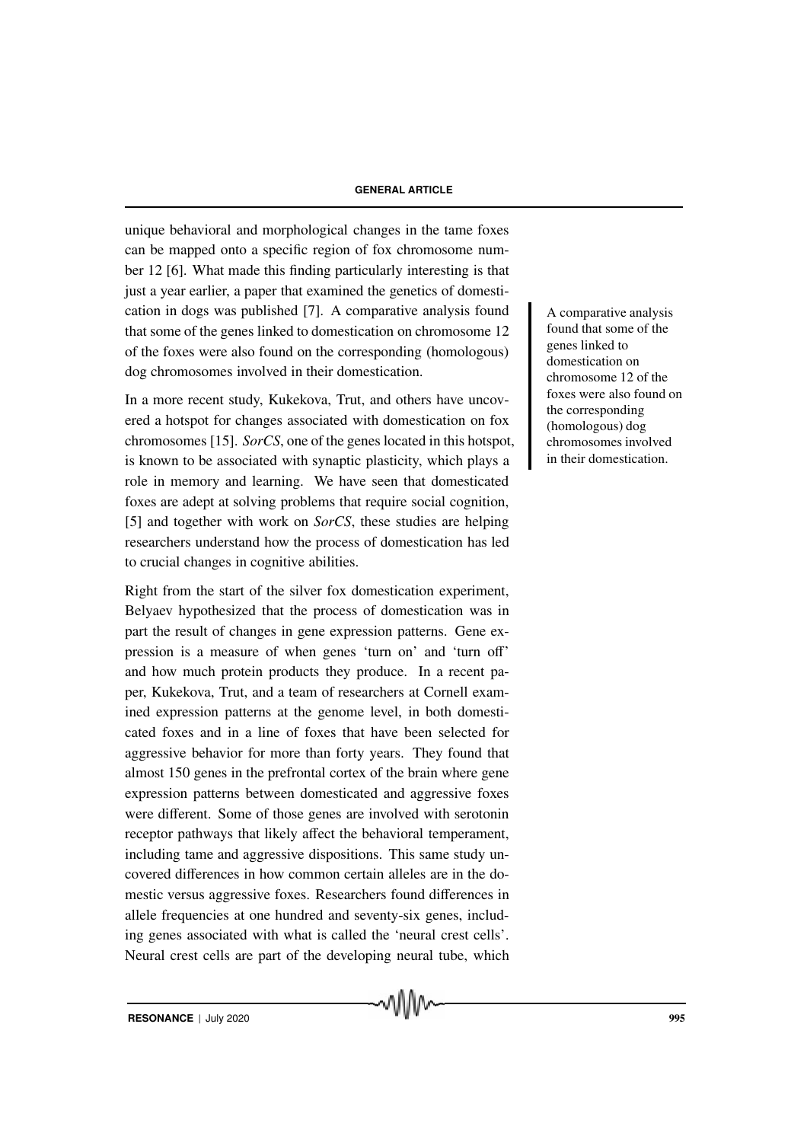unique behavioral and morphological changes in the tame foxes can be mapped onto a specific region of fox chromosome number 12 [6]. What made this finding particularly interesting is that just a year earlier, a paper that examined the genetics of domestication in dogs was published [7]. A comparative analysis found <br>A comparative analysis that some of the genes linked to domestication on chromosome 12 of the foxes were also found on the corresponding (homologous) dog chromosomes involved in their domestication.

In a more recent study, Kukekova, Trut, and others have uncovered a hotspot for changes associated with domestication on fox chromosomes [15]. *SorCS*, one of the genes located in this hotspot, is known to be associated with synaptic plasticity, which plays a role in memory and learning. We have seen that domesticated foxes are adept at solving problems that require social cognition, [5] and together with work on *SorCS*, these studies are helping researchers understand how the process of domestication has led to crucial changes in cognitive abilities.

Right from the start of the silver fox domestication experiment, Belyaev hypothesized that the process of domestication was in part the result of changes in gene expression patterns. Gene expression is a measure of when genes 'turn on' and 'turn off' and how much protein products they produce. In a recent paper, Kukekova, Trut, and a team of researchers at Cornell examined expression patterns at the genome level, in both domesticated foxes and in a line of foxes that have been selected for aggressive behavior for more than forty years. They found that almost 150 genes in the prefrontal cortex of the brain where gene expression patterns between domesticated and aggressive foxes were different. Some of those genes are involved with serotonin receptor pathways that likely affect the behavioral temperament, including tame and aggressive dispositions. This same study uncovered differences in how common certain alleles are in the domestic versus aggressive foxes. Researchers found differences in allele frequencies at one hundred and seventy-six genes, including genes associated with what is called the 'neural crest cells'. Neural crest cells are part of the developing neural tube, which found that some of the genes linked to domestication on chromosome 12 of the foxes were also found on the corresponding (homologous) dog chromosomes involved in their domestication.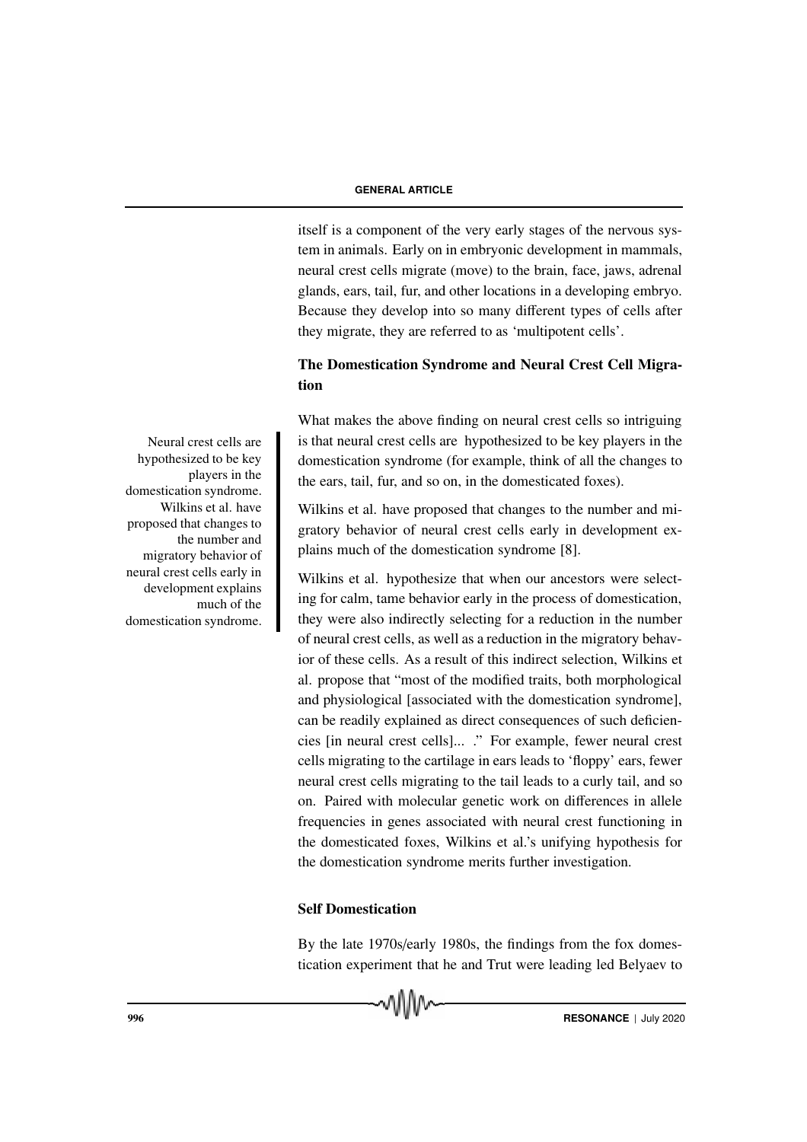itself is a component of the very early stages of the nervous system in animals. Early on in embryonic development in mammals, neural crest cells migrate (move) to the brain, face, jaws, adrenal glands, ears, tail, fur, and other locations in a developing embryo. Because they develop into so many different types of cells after they migrate, they are referred to as 'multipotent cells'.

# The Domestication Syndrome and Neural Crest Cell Migration

What makes the above finding on neural crest cells so intriguing Neural crest cells are is that neural crest cells are hypothesized to be key players in the domestication syndrome (for example, think of all the changes to the ears, tail, fur, and so on, in the domesticated foxes).

> Wilkins et al. have proposed that changes to the number and migratory behavior of neural crest cells early in development explains much of the domestication syndrome [8].

> Wilkins et al. hypothesize that when our ancestors were selecting for calm, tame behavior early in the process of domestication, they were also indirectly selecting for a reduction in the number of neural crest cells, as well as a reduction in the migratory behavior of these cells. As a result of this indirect selection, Wilkins et al. propose that "most of the modified traits, both morphological and physiological [associated with the domestication syndrome], can be readily explained as direct consequences of such deficiencies [in neural crest cells]... ." For example, fewer neural crest cells migrating to the cartilage in ears leads to 'floppy' ears, fewer neural crest cells migrating to the tail leads to a curly tail, and so on. Paired with molecular genetic work on differences in allele frequencies in genes associated with neural crest functioning in the domesticated foxes, Wilkins et al.'s unifying hypothesis for the domestication syndrome merits further investigation.

# Self Domestication

By the late 1970s/early 1980s, the findings from the fox domestication experiment that he and Trut were leading led Belyaev to



hypothesized to be key players in the domestication syndrome. Wilkins et al. have proposed that changes to the number and migratory behavior of neural crest cells early in development explains much of the domestication syndrome.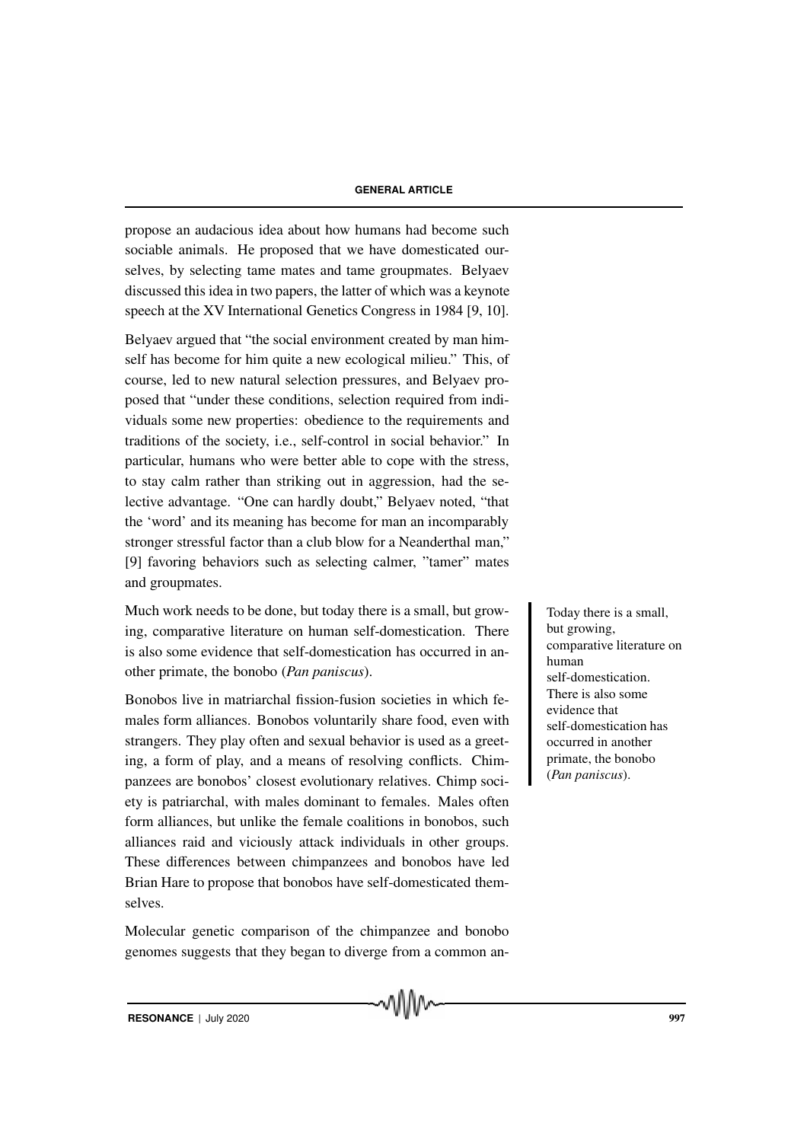propose an audacious idea about how humans had become such sociable animals. He proposed that we have domesticated ourselves, by selecting tame mates and tame groupmates. Belyaev discussed this idea in two papers, the latter of which was a keynote speech at the XV International Genetics Congress in 1984 [9, 10].

Belyaev argued that "the social environment created by man himself has become for him quite a new ecological milieu." This, of course, led to new natural selection pressures, and Belyaev proposed that "under these conditions, selection required from individuals some new properties: obedience to the requirements and traditions of the society, i.e., self-control in social behavior." In particular, humans who were better able to cope with the stress, to stay calm rather than striking out in aggression, had the selective advantage. "One can hardly doubt," Belyaev noted, "that the 'word' and its meaning has become for man an incomparably stronger stressful factor than a club blow for a Neanderthal man," [9] favoring behaviors such as selecting calmer, "tamer" mates and groupmates.

Much work needs to be done, but today there is a small, but grow-<br>
Today there is a small, ing, comparative literature on human self-domestication. There is also some evidence that self-domestication has occurred in another primate, the bonobo (*Pan paniscus*).

Bonobos live in matriarchal fission-fusion societies in which females form alliances. Bonobos voluntarily share food, even with strangers. They play often and sexual behavior is used as a greeting, a form of play, and a means of resolving conflicts. Chimpanzees are bonobos' closest evolutionary relatives. Chimp society is patriarchal, with males dominant to females. Males often form alliances, but unlike the female coalitions in bonobos, such alliances raid and viciously attack individuals in other groups. These differences between chimpanzees and bonobos have led Brian Hare to propose that bonobos have self-domesticated themselves.

Molecular genetic comparison of the chimpanzee and bonobo genomes suggests that they began to diverge from a common an-

MMW

but growing, comparative literature on human self-domestication. There is also some evidence that self-domestication has occurred in another primate, the bonobo (*Pan paniscus*).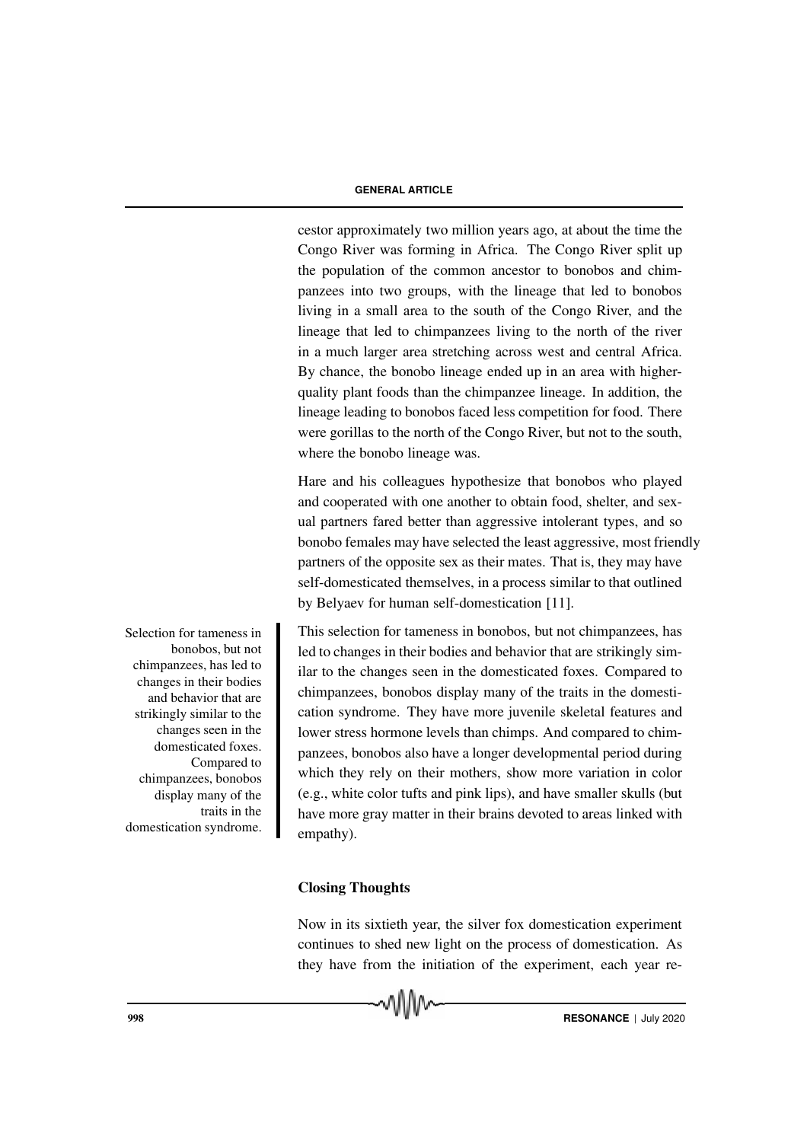cestor approximately two million years ago, at about the time the Congo River was forming in Africa. The Congo River split up the population of the common ancestor to bonobos and chimpanzees into two groups, with the lineage that led to bonobos living in a small area to the south of the Congo River, and the lineage that led to chimpanzees living to the north of the river in a much larger area stretching across west and central Africa. By chance, the bonobo lineage ended up in an area with higherquality plant foods than the chimpanzee lineage. In addition, the lineage leading to bonobos faced less competition for food. There were gorillas to the north of the Congo River, but not to the south, where the bonobo lineage was.

Hare and his colleagues hypothesize that bonobos who played and cooperated with one another to obtain food, shelter, and sexual partners fared better than aggressive intolerant types, and so bonobo females may have selected the least aggressive, most friendly partners of the opposite sex as their mates. That is, they may have self-domesticated themselves, in a process similar to that outlined by Belyaev for human self-domestication [11].

This selection for tameness in bonobos, but not chimpanzees, has led to changes in their bodies and behavior that are strikingly similar to the changes seen in the domesticated foxes. Compared to chimpanzees, bonobos display many of the traits in the domestication syndrome. They have more juvenile skeletal features and lower stress hormone levels than chimps. And compared to chimpanzees, bonobos also have a longer developmental period during which they rely on their mothers, show more variation in color (e.g., white color tufts and pink lips), and have smaller skulls (but have more gray matter in their brains devoted to areas linked with empathy).

# Closing Thoughts

Now in its sixtieth year, the silver fox domestication experiment continues to shed new light on the process of domestication. As they have from the initiation of the experiment, each year re-



bonobos, but not chimpanzees, has led to changes in their bodies and behavior that are strikingly similar to the changes seen in the domesticated foxes. Compared to chimpanzees, bonobos display many of the traits in the domestication syndrome.

Selection for tameness in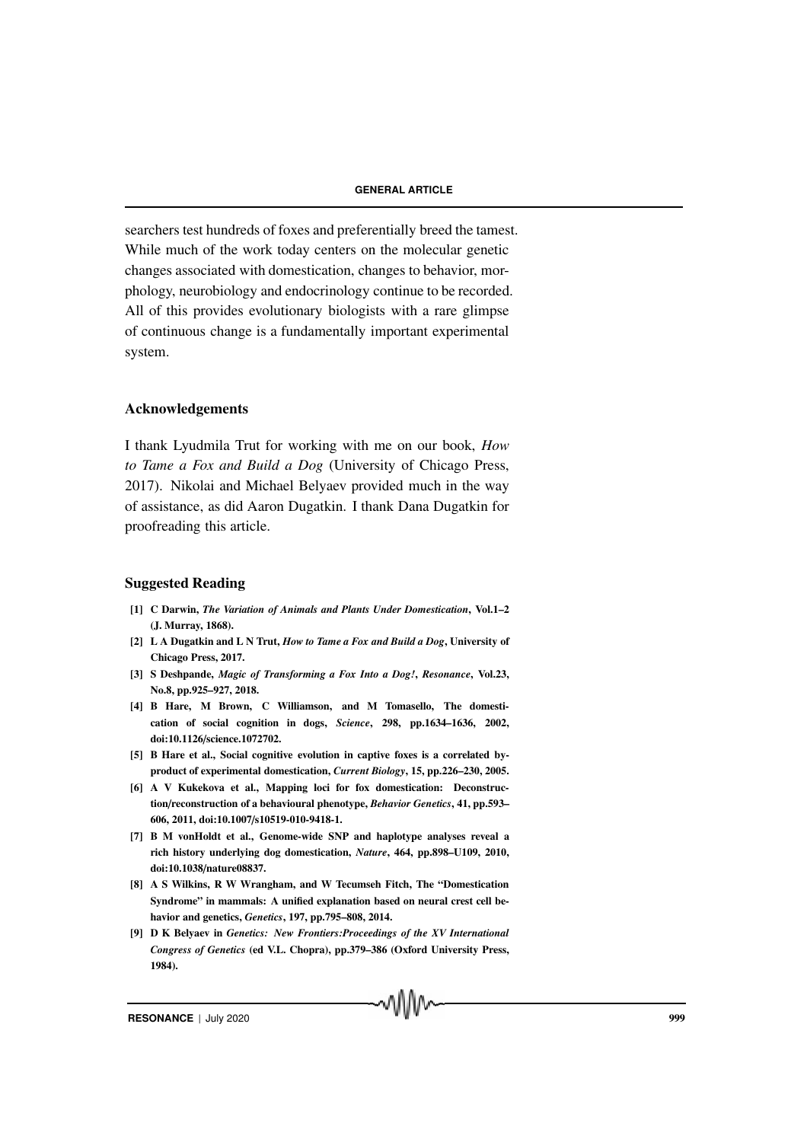searchers test hundreds of foxes and preferentially breed the tamest. While much of the work today centers on the molecular genetic changes associated with domestication, changes to behavior, morphology, neurobiology and endocrinology continue to be recorded. All of this provides evolutionary biologists with a rare glimpse of continuous change is a fundamentally important experimental system.

#### Acknowledgements

I thank Lyudmila Trut for working with me on our book, *How to Tame a Fox and Build a Dog* (University of Chicago Press, 2017). Nikolai and Michael Belyaev provided much in the way of assistance, as did Aaron Dugatkin. I thank Dana Dugatkin for proofreading this article.

# Suggested Reading

- [1] C Darwin, *The Variation of Animals and Plants Under Domestication*, Vol.1–2 (J. Murray, 1868).
- [2] L A Dugatkin and L N Trut, *How to Tame a Fox and Build a Dog*, University of Chicago Press, 2017.
- [3] S Deshpande, *Magic of Transforming a Fox Into a Dog!*, *Resonance*, Vol.23, No.8, pp.925–927, 2018.
- [4] B Hare, M Brown, C Williamson, and M Tomasello, The domestication of social cognition in dogs, *Science*, 298, pp.1634–1636, 2002, doi:10.1126/science.1072702.
- [5] B Hare et al., Social cognitive evolution in captive foxes is a correlated byproduct of experimental domestication, *Current Biology*, 15, pp.226–230, 2005.
- [6] A V Kukekova et al., Mapping loci for fox domestication: Deconstruction/reconstruction of a behavioural phenotype, *Behavior Genetics*, 41, pp.593– 606, 2011, doi:10.1007/s10519-010-9418-1.
- [7] B M vonHoldt et al., Genome-wide SNP and haplotype analyses reveal a rich history underlying dog domestication, *Nature*, 464, pp.898–U109, 2010, doi:10.1038/nature08837.
- [8] A S Wilkins, R W Wrangham, and W Tecumseh Fitch, The "Domestication Syndrome" in mammals: A unified explanation based on neural crest cell behavior and genetics, *Genetics*, 197, pp.795–808, 2014.
- [9] D K Belyaev in *Genetics: New Frontiers:Proceedings of the XV International Congress of Genetics* (ed V.L. Chopra), pp.379–386 (Oxford University Press, 1984).